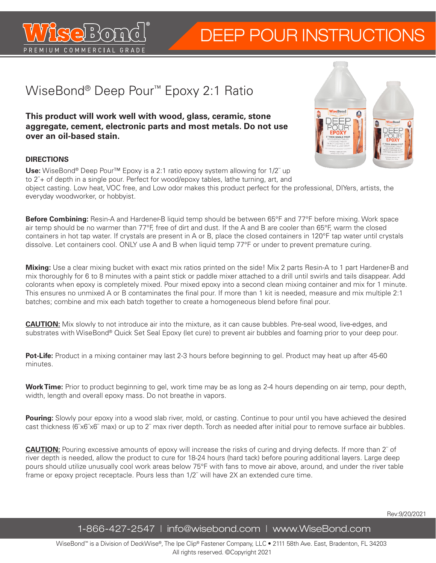

# DEEP POUR INSTRUCTIONS

## WiseBond<sup>®</sup> Deep Pour<sup>™</sup> Epoxy 2:1 Ratio

**This product will work well with wood, glass, ceramic, stone aggregate, cement, electronic parts and most metals. Do not use over an oil-based stain.**

#### **DIRECTIONS**

**Use:** WiseBond® Deep Pour™ Epoxy is a 2:1 ratio epoxy system allowing for 1/2¨ up to 2¨+ of depth in a single pour. Perfect for wood/epoxy tables, lathe turning, art, and object casting. Low heat, VOC free, and Low odor makes this product perfect for the professional, DIYers, artists, the everyday woodworker, or hobbyist.

**Before Combining:** Resin-A and Hardener-B liquid temp should be between 65°F and 77°F before mixing. Work space air temp should be no warmer than 77°F, free of dirt and dust. If the A and B are cooler than 65°F, warm the closed containers in hot tap water. If crystals are present in A or B, place the closed containers in 120°F tap water until crystals dissolve. Let containers cool. ONLY use A and B when liquid temp 77°F or under to prevent premature curing.

**Mixing:** Use a clear mixing bucket with exact mix ratios printed on the side! Mix 2 parts Resin-A to 1 part Hardener-B and mix thoroughly for 6 to 8 minutes with a paint stick or paddle mixer attached to a drill until swirls and tails disappear. Add colorants when epoxy is completely mixed. Pour mixed epoxy into a second clean mixing container and mix for 1 minute. This ensures no unmixed A or B contaminates the final pour. If more than 1 kit is needed, measure and mix multiple 2:1 batches; combine and mix each batch together to create a homogeneous blend before final pour.

**CAUTION:** Mix slowly to not introduce air into the mixture, as it can cause bubbles. Pre-seal wood, live-edges, and substrates with WiseBond® Quick Set Seal Epoxy (let cure) to prevent air bubbles and foaming prior to your deep pour.

**Pot-Life:** Product in a mixing container may last 2-3 hours before beginning to gel. Product may heat up after 45-60 minutes.

**Work Time:** Prior to product beginning to gel, work time may be as long as 2-4 hours depending on air temp, pour depth, width, length and overall epoxy mass. Do not breathe in vapors.

**Pouring:** Slowly pour epoxy into a wood slab river, mold, or casting. Continue to pour until you have achieved the desired cast thickness (6¨x6¨x6¨ max) or up to 2¨ max river depth. Torch as needed after initial pour to remove surface air bubbles.

**CAUTION:** Pouring excessive amounts of epoxy will increase the risks of curing and drying defects. If more than 2" of river depth is needed, allow the product to cure for 18-24 hours (hard tack) before pouring additional layers. Large deep pours should utilize unusually cool work areas below 75°F with fans to move air above, around, and under the river table frame or epoxy project receptacle. Pours less than 1/2¨ will have 2X an extended cure time.



Rev:9/20/2021

1-866-427-2547 | info@wisebond.com | www.WiseBond.com